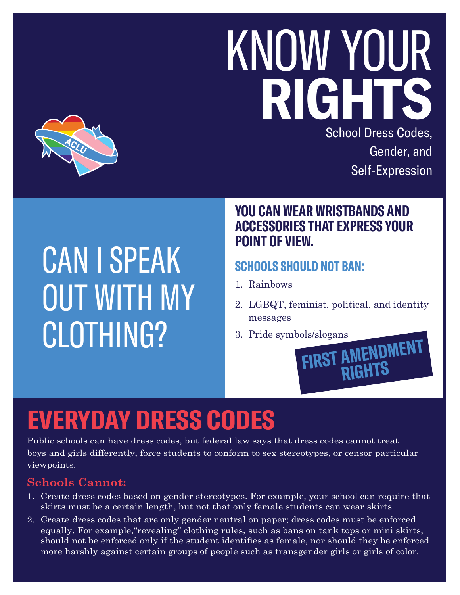# KNOW YOUR **RIGHT** School Dress Codes,



## CAN I SPEAK OUT WITH MY CLOTHING?

#### **YOU CAN WEAR WRISTBANDS AND ACCESSORIES THAT EXPRESS YOUR POINT OF VIEW.**

#### **SCHOOLS SHOULD NOT BAN:**

- 1. Rainbows
- 2. LGBQT, feminist, political, and identity messages
- 3. Pride symbols/slogans **FIRST AMENDMENT RIGHTS**

### **EVERYDAY DRESS CODES**

Public schools can have dress codes, but federal law says that dress codes cannot treat boys and girls differently, force students to conform to sex stereotypes, or censor particular viewpoints.

#### **Schools Cannot:**

- 1. Create dress codes based on gender stereotypes. For example, your school can require that skirts must be a certain length, but not that only female students can wear skirts.
- 2. Create dress codes that are only gender neutral on paper; dress codes must be enforced equally. For example,"revealing" clothing rules, such as bans on tank tops or mini skirts, should not be enforced only if the student identifies as female, nor should they be enforced more harshly against certain groups of people such as transgender girls or girls of color.